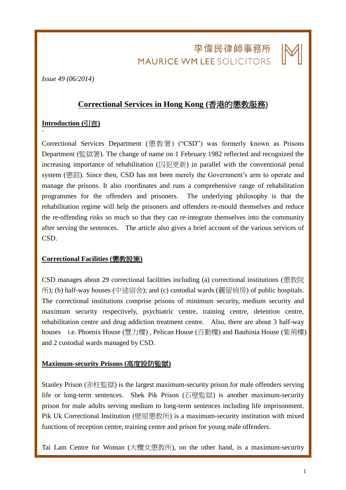# 李偉民律師事務所 **MAURICE WM LEE SOLICITORS**

L

*Issue 49 (06/2014)*

## **Correctional Services in Hong Kong (**香港的懲教服務)

### **Introduction (**引言**)**

`

Correctional Services Department (懲教署) ("CSD") was formerly known as Prisons Department (監獄署). The change of name on 1 February 1982 reflected and recognized the increasing importance of rehabilitation (囚犯更新) in parallel with the conventional penal system (懲罰). Since then, CSD has not been merely the Government's arm to operate and manage the prisons. It also coordinates and runs a comprehensive range of rehabilitation programmes for the offenders and prisoners. The underlying philosophy is that the rehabilitation regime will help the prisoners and offenders re-mould themselves and reduce the re-offending risks so much so that they can re-integrate themselves into the community after serving the sentences. The article also gives a brief account of the various services of CSD.

### **Correctional Facilities (**懲教設施**)**

CSD manages about 29 correctional facilities including (a) correctional institutions (懲教院 所); (b) half-way houses (中途宿舍); and (c) custodial wards (覊留病房) of public hospitals. The correctional institutions comprise prisons of minimum security, medium security and maximum security respectively, psychiatric centre, training centre, detention centre, rehabilitation centre and drug addiction treatment centre. Also, there are about 3 half-way houses i.e. Phoenix House (豐力樓) , Pelican House (百勤樓) and Bauhinia House (紫荊樓) and 2 custodial wards managed by CSD.

#### **Maximum-security Prisons (**高度設防監獄**)**

Stanley Prison (赤柱監獄) is the largest maximum-security prison for male offenders serving life or long-term sentences. Shek Pik Prison (石壁監獄) is another maximum-security prison for male adults serving medium to long-term sentences including life imprisonment. Pik Uk Correctional Institution (壁屋懲教所) is a maximum-security institution with mixed functions of reception centre, training centre and prison for young male offenders.

Tai Lam Centre for Woman (大欖女懲教所), on the other hand, is a maximum-security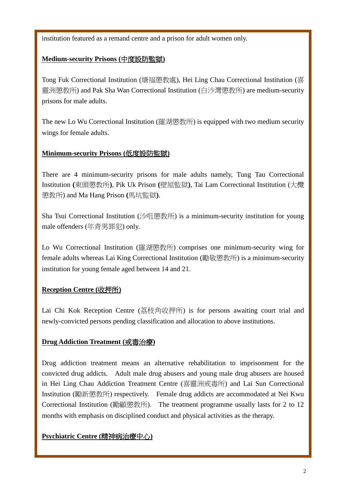institution featured as a remand centre and a prison for adult women only.

## **Medium-security Prisons (**中度設防監獄**)**

Tong Fuk Correctional Institution (塘福懲教處), Hei Ling Chau Correctional Institution (喜 靈洲懲教所) and Pak Sha Wan Correctional Institution (白沙灣懲教所) are medium-security prisons for male adults.

The new Lo Wu Correctional Institution (羅湖懲教所) is equipped with two medium security wings for female adults.

## **Minimum-security Prisons (**低度設防監獄**)**

There are 4 minimum-security prisons for male adults namely, Tung Tau Correctional Institution **(**東頭懲教所**)**, Pik Uk Prison **(**壁屋監獄**)**, Tai Lam Correctional Institution (大欖 懲教所) and Ma Hang Prison **(**馬坑監獄**)**.

Sha Tsui Correctional Institution (沙咀懲教所) is a minimum-security institution for young male offenders (年青男罪犯) only.

Lo Wu Correctional Institution (羅湖懲教所) comprises one minimum-security wing for female adults whereas Lai King Correctional Institution (勵敬懲教所) is a minimum-security institution for young female aged between 14 and 21.

## **Reception Centre (**收押所**)**

Lai Chi Kok Reception Centre (荔枝角收押所) is for persons awaiting court trial and newly-convicted persons pending classification and allocation to above institutions.

### **Drug Addiction Treatment (**戒毒治療**)**

Drug addiction treatment means an alternative rehabilitation to imprisonment for the convicted drug addicts. Adult male drug abusers and young male drug abusers are housed in Hei Ling Chau Addiction Treatment Centre (喜靈洲戒毒所) and Lai Sun Correctional Institution (勵新懲教所) respectively. Female drug addicts are accommodated at Nei Kwu Correctional Institution (勵顧懲教所). The treatment programme usually lasts for 2 to 12 months with emphasis on disciplined conduct and physical activities as the therapy.

## **Psychiatric Centre (**精神病治療中心**)**

L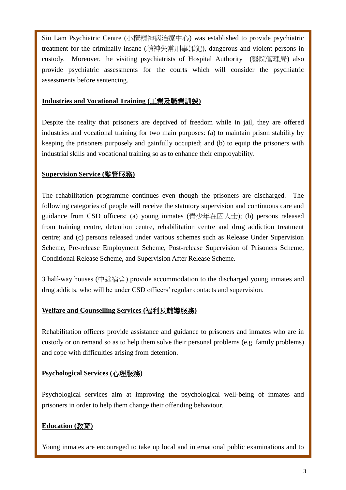Siu Lam Psychiatric Centre (小欖精神病治療中心) was established to provide psychiatric treatment for the criminally insane (精神失常刑事罪犯), dangerous and violent persons in custody. Moreover, the visiting psychiatrists of Hospital Authority (醫院管理局) also provide psychiatric assessments for the courts which will consider the psychiatric assessments before sentencing.

#### **Industries and Vocational Training (**工業及職業訓練**)**

Despite the reality that prisoners are deprived of freedom while in jail, they are offered industries and vocational training for two main purposes: (a) to maintain prison stability by keeping the prisoners purposely and gainfully occupied; and (b) to equip the prisoners with industrial skills and vocational training so as to enhance their employability.

### **Supervision Service (**監管服務**)**

The rehabilitation programme continues even though the prisoners are discharged. The following categories of people will receive the statutory supervision and continuous care and guidance from CSD officers: (a) young inmates (青少年在囚人士); (b) persons released from training centre, detention centre, rehabilitation centre and drug addiction treatment centre; and (c) persons released under various schemes such as Release Under Supervision Scheme, Pre-release Employment Scheme, Post-release Supervision of Prisoners Scheme, Conditional Release Scheme, and Supervision After Release Scheme.

3 half-way houses (中途宿舍) provide accommodation to the discharged young inmates and drug addicts, who will be under CSD officers' regular contacts and supervision.

### **Welfare and Counselling Services (**福利及輔導服務**)**

Rehabilitation officers provide assistance and guidance to prisoners and inmates who are in custody or on remand so as to help them solve their personal problems (e.g. family problems) and cope with difficulties arising from detention.

### **Psychological Services (**心理服務**)**

Psychological services aim at improving the psychological well-being of inmates and prisoners in order to help them change their offending behaviour.

## **Education (**教育**)**

Young inmates are encouraged to take up local and international public examinations and to

L